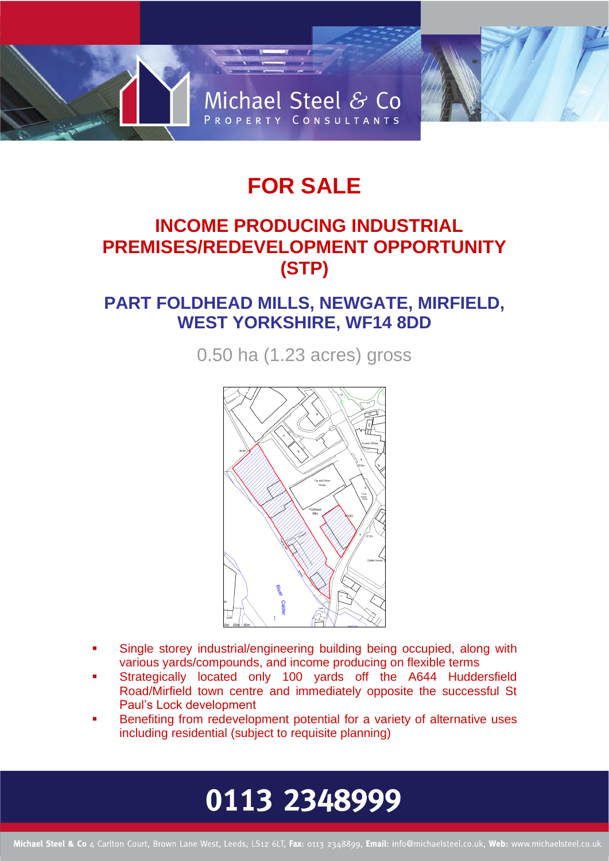

## **FOR SALE**

## **INCOME PRODUCING INDUSTRIAL PREMISES/REDEVELOPMENT OPPORTUNITY (STP)**

### **PART FOLDHEAD MILLS, NEWGATE, MIRFIELD, WEST YORKSHIRE, WF14 8DD**

0.50 ha (1.23 acres) gross



- Single storey industrial/engineering building being occupied, along with various yards/compounds, and income producing on flexible terms
- Strategically located only 100 yards off the A644 Huddersfield Road/Mirfield town centre and immediately opposite the successful St Paul's Lock development
- Benefiting from redevelopment potential for a variety of alternative uses including residential (subject to requisite planning)

# 0113 2348999

Michael Steel & Co 4 Carlton Court, Brown Lane West, Leeds, LS12 6LT, Fax: 0113 2348899, Email: info@michaelsteel.co.uk, Web: www.michaelsteel.co.uk